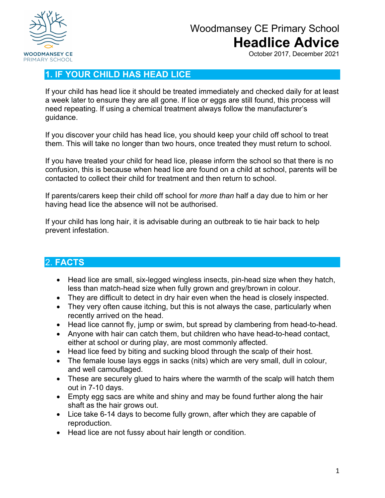

# Woodmansey CE Primary School **Headlice Advice**

October 2017, December 2021

### **1. IF YOUR CHILD HAS HEAD LICE**

If your child has head lice it should be treated immediately and checked daily for at least a week later to ensure they are all gone. If lice or eggs are still found, this process will need repeating. If using a chemical treatment always follow the manufacturer's guidance.

If you discover your child has head lice, you should keep your child off school to treat them. This will take no longer than two hours, once treated they must return to school.

If you have treated your child for head lice, please inform the school so that there is no confusion, this is because when head lice are found on a child at school, parents will be contacted to collect their child for treatment and then return to school.

If parents/carers keep their child off school for *more than* half a day due to him or her having head lice the absence will not be authorised.

If your child has long hair, it is advisable during an outbreak to tie hair back to help prevent infestation.

#### 2. **FACTS**

- Head lice are small, six-legged wingless insects, pin-head size when they hatch, less than match-head size when fully grown and grey/brown in colour.
- They are difficult to detect in dry hair even when the head is closely inspected.
- They very often cause itching, but this is not always the case, particularly when recently arrived on the head.
- Head lice cannot fly, jump or swim, but spread by clambering from head-to-head.
- Anyone with hair can catch them, but children who have head-to-head contact, either at school or during play, are most commonly affected.
- Head lice feed by biting and sucking blood through the scalp of their host.
- The female louse lays eggs in sacks (nits) which are very small, dull in colour, and well camouflaged.
- These are securely glued to hairs where the warmth of the scalp will hatch them out in 7-10 days.
- Empty egg sacs are white and shiny and may be found further along the hair shaft as the hair grows out.
- Lice take 6-14 days to become fully grown, after which they are capable of reproduction.
- Head lice are not fussy about hair length or condition.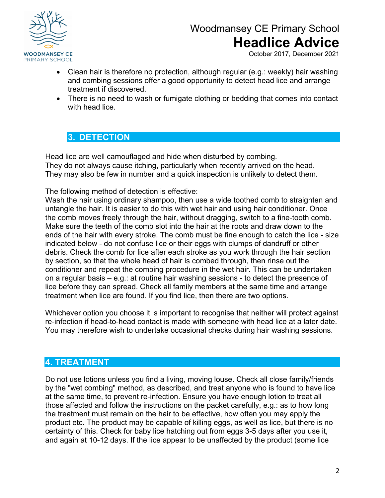

# Woodmansey CE Primary School **Headlice Advice**

October 2017, December 2021

- Clean hair is therefore no protection, although regular (e.g.: weekly) hair washing and combing sessions offer a good opportunity to detect head lice and arrange treatment if discovered.
- There is no need to wash or fumigate clothing or bedding that comes into contact with head lice.

### **3. DETECTION**

Head lice are well camouflaged and hide when disturbed by combing. They do not always cause itching, particularly when recently arrived on the head. They may also be few in number and a quick inspection is unlikely to detect them.

The following method of detection is effective:

Wash the hair using ordinary shampoo, then use a wide toothed comb to straighten and untangle the hair. It is easier to do this with wet hair and using hair conditioner. Once the comb moves freely through the hair, without dragging, switch to a fine-tooth comb. Make sure the teeth of the comb slot into the hair at the roots and draw down to the ends of the hair with every stroke. The comb must be fine enough to catch the lice - size indicated below - do not confuse lice or their eggs with clumps of dandruff or other debris. Check the comb for lice after each stroke as you work through the hair section by section, so that the whole head of hair is combed through, then rinse out the conditioner and repeat the combing procedure in the wet hair. This can be undertaken on a regular basis – e.g.: at routine hair washing sessions - to detect the presence of lice before they can spread. Check all family members at the same time and arrange treatment when lice are found. If you find lice, then there are two options.

Whichever option you choose it is important to recognise that neither will protect against re-infection if head-to-head contact is made with someone with head lice at a later date. You may therefore wish to undertake occasional checks during hair washing sessions.

### **4. TREATMENT**

Do not use lotions unless you find a living, moving louse. Check all close family/friends by the "wet combing" method, as described, and treat anyone who is found to have lice at the same time, to prevent re-infection. Ensure you have enough lotion to treat all those affected and follow the instructions on the packet carefully, e.g.: as to how long the treatment must remain on the hair to be effective, how often you may apply the product etc. The product may be capable of killing eggs, as well as lice, but there is no certainty of this. Check for baby lice hatching out from eggs 3-5 days after you use it, and again at 10-12 days. If the lice appear to be unaffected by the product (some lice